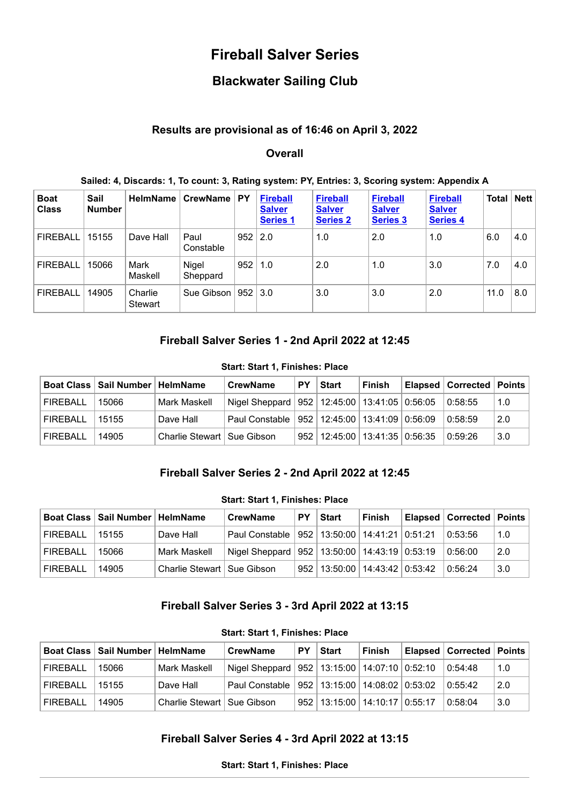# **Fireball Salver Series**

## **Blackwater Sailing Club**

## **Results are provisional as of 16:46 on April 3, 2022**

## **Overall**

#### **Sailed: 4, Discards: 1, To count: 3, Rating system: PY, Entries: 3, Scoring system: Appendix A**

| <b>Boat</b><br><b>Class</b> | Sail<br><b>Number</b> | HelmName           | CrewName   PY     |           | <b>Fireball</b><br><b>Salver</b><br>Series <sub>1</sub> | <b>Fireball</b><br><b>Salver</b><br><b>Series 2</b> | <b>Fireball</b><br><b>Salver</b><br><b>Series 3</b> | <b>Fireball</b><br><b>Salver</b><br><b>Series 4</b> | Total   Nett |     |
|-----------------------------|-----------------------|--------------------|-------------------|-----------|---------------------------------------------------------|-----------------------------------------------------|-----------------------------------------------------|-----------------------------------------------------|--------------|-----|
| <b>FIREBALL</b>             | 15155                 | Dave Hall          | Paul<br>Constable | 952   2.0 |                                                         | 1.0                                                 | 2.0                                                 | 1.0                                                 | 6.0          | 4.0 |
| <b>FIREBALL</b>             | 15066                 | Mark<br>Maskell    | Nigel<br>Sheppard | 952       | 1.0                                                     | 2.0                                                 | 1.0                                                 | 3.0                                                 | 7.0          | 4.0 |
| <b>FIREBALL</b>             | 14905                 | Charlie<br>Stewart | Sue Gibson        | 952       | 3.0                                                     | 3.0                                                 | 3.0                                                 | 2.0                                                 | 11.0         | 8.0 |

## **Fireball Salver Series 1 - 2nd April 2022 at 12:45**

#### **Start: Start 1, Finishes: Place**

<span id="page-0-0"></span>

|                 | Boat Class   Sail Number   HelmName |                              | <b>CrewName</b>                                      | PY  | <b>Start</b>                                     | <b>Finish</b> | <b>Elapsed   Corrected   Points</b> |     |
|-----------------|-------------------------------------|------------------------------|------------------------------------------------------|-----|--------------------------------------------------|---------------|-------------------------------------|-----|
| <b>FIREBALL</b> | 15066                               | Mark Maskell                 | Nigel Sheppard   952   12:45:00   13:41:05   0:56:05 |     |                                                  |               | 0:58:55                             | 1.0 |
| <b>FIREBALL</b> | 15155                               | Dave Hall                    | Paul Constable                                       |     | <sup>∣</sup> 952   12:45:00   13:41:09   0:56:09 |               | 0:58:59                             | 2.0 |
| <b>FIREBALL</b> | 14905                               | Charlie Stewart   Sue Gibson |                                                      | 952 | $12:45:00$   13:41:35   0:56:35                  |               | 0.59.26                             | 3.0 |

#### **Fireball Salver Series 2 - 2nd April 2022 at 12:45**

#### **Start: Start 1, Finishes: Place**

<span id="page-0-1"></span>

|                 | Boat Class   Sail Number   HelmName |                              | <b>CrewName</b>                                      | . PY | <b>Start</b>                        | <b>Finish</b> | Elapsed   Corrected   Points |     |
|-----------------|-------------------------------------|------------------------------|------------------------------------------------------|------|-------------------------------------|---------------|------------------------------|-----|
| <b>FIREBALL</b> | 115155                              | Dave Hall                    | Paul Constable   952   13:50:00   14:41:21   0:51:21 |      |                                     |               | 0:53:56                      | 1.0 |
| <b>FIREBALL</b> | 15066                               | Mark Maskell                 | Nigel Sheppard   952   13:50:00   14:43:19   0:53:19 |      |                                     |               | 0:56:00                      | 2.0 |
| <b>FIREBALL</b> | 14905                               | Charlie Stewart   Sue Gibson |                                                      |      | 952   13:50:00   14:43:42   0:53:42 |               | 0:56:24                      | 3.0 |

## **Fireball Salver Series 3 - 3rd April 2022 at 13:15**

<span id="page-0-3"></span><span id="page-0-2"></span>

|                 | Boat Class   Sail Number   HelmName |                              | <b>CrewName</b>                                      | PY | <b>Start</b>                        | <b>Finish</b> | Elapsed   Corrected | <b>Points</b> |
|-----------------|-------------------------------------|------------------------------|------------------------------------------------------|----|-------------------------------------|---------------|---------------------|---------------|
| <b>FIREBALL</b> | 15066                               | Mark Maskell                 | Nigel Sheppard   952   13:15:00   14:07:10   0:52:10 |    |                                     |               | 0:54:48             | 1.0           |
| <b>FIREBALL</b> | 15155                               | Dave Hall                    | <sup>⊦</sup> Paul Constable                          |    | 952   13:15:00   14:08:02   0:53:02 |               | 0.55.42             | 2.0           |
| <b>FIREBALL</b> | 14905                               | Charlie Stewart   Sue Gibson |                                                      |    | 952   13:15:00   14:10:17   0:55:17 |               | 0:58:04             | 3.0           |

#### **Start: Start 1, Finishes: Place**

## **Fireball Salver Series 4 - 3rd April 2022 at 13:15**